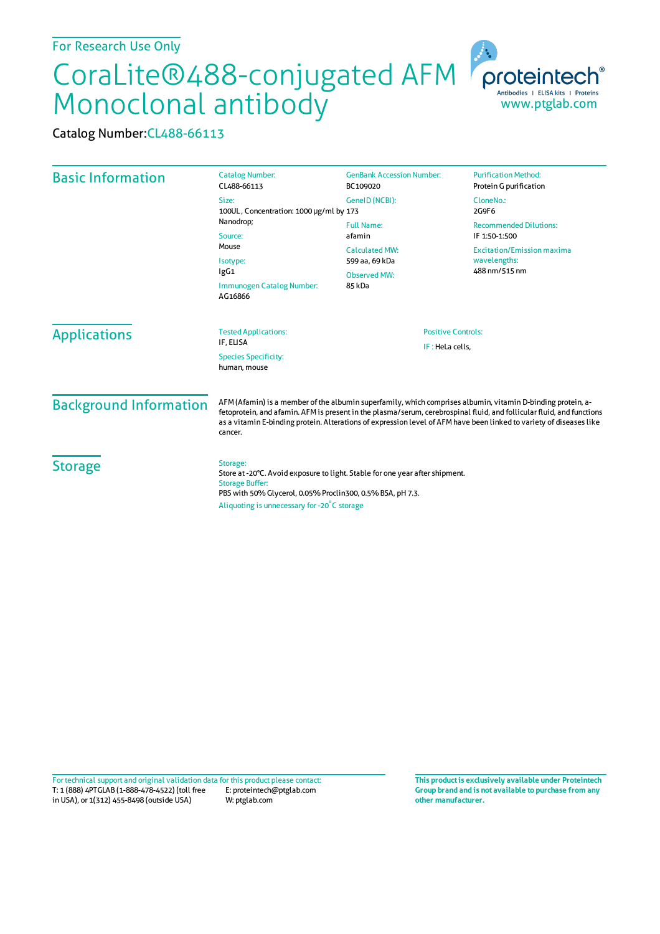## CoraLite®488-conjugated AFM Monoclonal antibody

Catalog Number:CL488-66113

| <b>Basic Information</b>      | <b>Catalog Number:</b><br>CL488-66113                                                                                                                                                                                                                                                                                                                                  | <b>GenBank Accession Number:</b><br>BC109020                                                            | <b>Purification Method:</b><br>Protein G purification                                                                |
|-------------------------------|------------------------------------------------------------------------------------------------------------------------------------------------------------------------------------------------------------------------------------------------------------------------------------------------------------------------------------------------------------------------|---------------------------------------------------------------------------------------------------------|----------------------------------------------------------------------------------------------------------------------|
|                               | Size:<br>100UL, Concentration: 1000 µg/ml by 173<br>Nanodrop;<br>Source:<br>Mouse<br>Isotype:<br>lgG1<br>Immunogen Catalog Number:<br>AG16866                                                                                                                                                                                                                          | GenelD (NCBI):                                                                                          | CloneNo.:<br>2G9F6                                                                                                   |
|                               |                                                                                                                                                                                                                                                                                                                                                                        | <b>Full Name:</b><br>afamin<br><b>Calculated MW:</b><br>599 aa, 69 kDa<br><b>Observed MW:</b><br>85 kDa | <b>Recommended Dilutions:</b><br>IF 1:50-1:500<br><b>Excitation/Emission maxima</b><br>wavelengths:<br>488 nm/515 nm |
|                               |                                                                                                                                                                                                                                                                                                                                                                        |                                                                                                         |                                                                                                                      |
| <b>Background Information</b> | AFM (Afamin) is a member of the albumin superfamily, which comprises albumin, vitamin D-binding protein, a-<br>fetoprotein, and afamin. AFM is present in the plasma/serum, cerebrospinal fluid, and follicular fluid, and functions<br>as a vitamin E-binding protein. Alterations of expression level of AFM have been linked to variety of diseases like<br>cancer. |                                                                                                         |                                                                                                                      |
| <b>Storage</b>                | Storage:<br>Store at -20°C. Avoid exposure to light. Stable for one year after shipment.<br><b>Storage Buffer:</b><br>PBS with 50% Glycerol, 0.05% Proclin300, 0.5% BSA, pH 7.3.<br>Aliquoting is unnecessary for -20°C storage                                                                                                                                        |                                                                                                         |                                                                                                                      |

T: 1 (888) 4PTGLAB (1-888-478-4522) (toll free in USA), or 1(312) 455-8498 (outside USA) E: proteintech@ptglab.com W: ptglab.com Fortechnical support and original validation data forthis product please contact: **This productis exclusively available under Proteintech**

**Group brand and is not available to purchase from any other manufacturer.**

www.ptglab.com

proteintech Antibodies | ELISA kits | Proteins